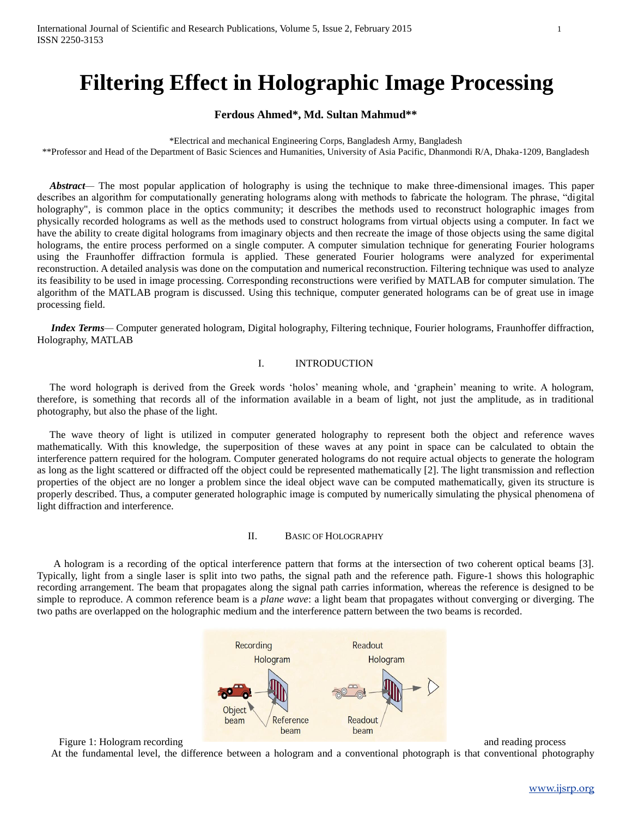# **Filtering Effect in Holographic Image Processing**

# **Ferdous Ahmed\*, Md. Sultan Mahmud\*\***

\*Electrical and mechanical Engineering Corps, Bangladesh Army, Bangladesh

\*\*Professor and Head of the Department of Basic Sciences and Humanities, University of Asia Pacific, Dhanmondi R/A, Dhaka-1209, Bangladesh

 *Abstract—* The most popular application of holography is using the technique to make three-dimensional images. This paper describes an algorithm for computationally generating holograms along with methods to fabricate the hologram. The phrase, "digital holography", is common place in the optics community; it describes the methods used to reconstruct holographic images from physically recorded holograms as well as the methods used to construct holograms from virtual objects using a computer. In fact we have the ability to create digital holograms from imaginary objects and then recreate the image of those objects using the same digital holograms, the entire process performed on a single computer. A computer simulation technique for generating Fourier holograms using the Fraunhoffer diffraction formula is applied. These generated Fourier holograms were analyzed for experimental reconstruction. A detailed analysis was done on the computation and numerical reconstruction. Filtering technique was used to analyze its feasibility to be used in image processing. Corresponding reconstructions were verified by MATLAB for computer simulation. The algorithm of the MATLAB program is discussed. Using this technique, computer generated holograms can be of great use in image processing field.

*Index Terms—* Computer generated hologram, Digital holography, Filtering technique, Fourier holograms, Fraunhoffer diffraction, Holography, MATLAB

# I. INTRODUCTION

The word holograph is derived from the Greek words 'holos' meaning whole, and 'graphein' meaning to write. A hologram, therefore, is something that records all of the information available in a beam of light, not just the amplitude, as in traditional photography, but also the phase of the light.

The wave theory of light is utilized in computer generated holography to represent both the object and reference waves mathematically. With this knowledge, the superposition of these waves at any point in space can be calculated to obtain the interference pattern required for the hologram. Computer generated holograms do not require actual objects to generate the hologram as long as the light scattered or diffracted off the object could be represented mathematically [2]. The light transmission and reflection properties of the object are no longer a problem since the ideal object wave can be computed mathematically, given its structure is properly described. Thus, a computer generated holographic image is computed by numerically simulating the physical phenomena of light diffraction and interference.

#### II. BASIC OF HOLOGRAPHY

A hologram is a recording of the optical interference pattern that forms at the intersection of two coherent optical beams [3]. Typically, light from a single laser is split into two paths, the signal path and the reference path. Figure-1 shows this holographic recording arrangement. The beam that propagates along the signal path carries information, whereas the reference is designed to be simple to reproduce. A common reference beam is a *plane wave*: a light beam that propagates without converging or diverging. The two paths are overlapped on the holographic medium and the interference pattern between the two beams is recorded.



At the fundamental level, the difference between a hologram and a conventional photograph is that conventional photography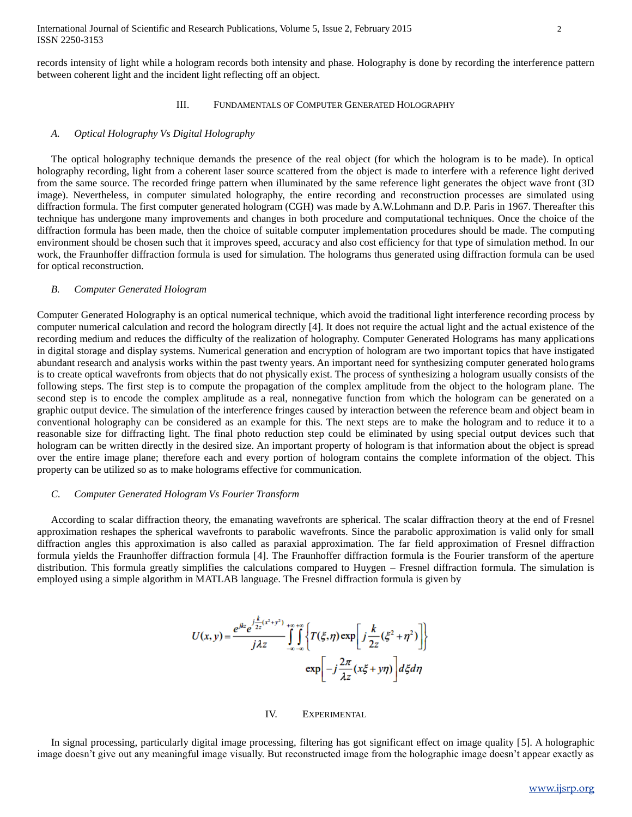records intensity of light while a hologram records both intensity and phase. Holography is done by recording the interference pattern between coherent light and the incident light reflecting off an object.

#### III. FUNDAMENTALS OF COMPUTER GENERATED HOLOGRAPHY

# *A. Optical Holography Vs Digital Holography*

The optical holography technique demands the presence of the real object (for which the hologram is to be made). In optical holography recording, light from a coherent laser source scattered from the object is made to interfere with a reference light derived from the same source. The recorded fringe pattern when illuminated by the same reference light generates the object wave front (3D image). Nevertheless, in computer simulated holography, the entire recording and reconstruction processes are simulated using diffraction formula. The first computer generated hologram (CGH) was made by A.W.Lohmann and D.P. Paris in 1967. Thereafter this technique has undergone many improvements and changes in both procedure and computational techniques. Once the choice of the diffraction formula has been made, then the choice of suitable computer implementation procedures should be made. The computing environment should be chosen such that it improves speed, accuracy and also cost efficiency for that type of simulation method. In our work, the Fraunhoffer diffraction formula is used for simulation. The holograms thus generated using diffraction formula can be used for optical reconstruction.

#### *B. Computer Generated Hologram*

Computer Generated Holography is an optical numerical technique, which avoid the traditional light interference recording process by computer numerical calculation and record the hologram directly [4]. It does not require the actual light and the actual existence of the recording medium and reduces the difficulty of the realization of holography. Computer Generated Holograms has many applications in digital storage and display systems. Numerical generation and encryption of hologram are two important topics that have instigated abundant research and analysis works within the past twenty years. An important need for synthesizing computer generated holograms is to create optical wavefronts from objects that do not physically exist. The process of synthesizing a hologram usually consists of the following steps. The first step is to compute the propagation of the complex amplitude from the object to the hologram plane. The second step is to encode the complex amplitude as a real, nonnegative function from which the hologram can be generated on a graphic output device. The simulation of the interference fringes caused by interaction between the reference beam and object beam in conventional holography can be considered as an example for this. The next steps are to make the hologram and to reduce it to a reasonable size for diffracting light. The final photo reduction step could be eliminated by using special output devices such that hologram can be written directly in the desired size. An important property of hologram is that information about the object is spread over the entire image plane; therefore each and every portion of hologram contains the complete information of the object. This property can be utilized so as to make holograms effective for communication.

#### *C. Computer Generated Hologram Vs Fourier Transform*

According to scalar diffraction theory, the emanating wavefronts are spherical. The scalar diffraction theory at the end of Fresnel approximation reshapes the spherical wavefronts to parabolic wavefronts. Since the parabolic approximation is valid only for small diffraction angles this approximation is also called as paraxial approximation. The far field approximation of Fresnel diffraction formula yields the Fraunhoffer diffraction formula [4]. The Fraunhoffer diffraction formula is the Fourier transform of the aperture distribution. This formula greatly simplifies the calculations compared to Huygen – Fresnel diffraction formula. The simulation is employed using a simple algorithm in MATLAB language. The Fresnel diffraction formula is given by

$$
U(x, y) = \frac{e^{jkz}e^{j\frac{k}{2z}(x^2 + y^2)} }{j\lambda z} \int_{-\infty}^{+\infty} \int_{-\infty}^{+\infty} \left\{ T(\xi, \eta) \exp\left[ j\frac{k}{2z}(\xi^2 + \eta^2) \right] \right\}
$$
  
 
$$
\exp\left[ -j\frac{2\pi}{\lambda z}(x\xi + y\eta) \right] d\xi d\eta
$$

IV. EXPERIMENTAL

In signal processing, particularly digital image processing, filtering has got significant effect on image quality [5]. A holographic image doesn't give out any meaningful image visually. But reconstructed image from the holographic image doesn't appear exactly as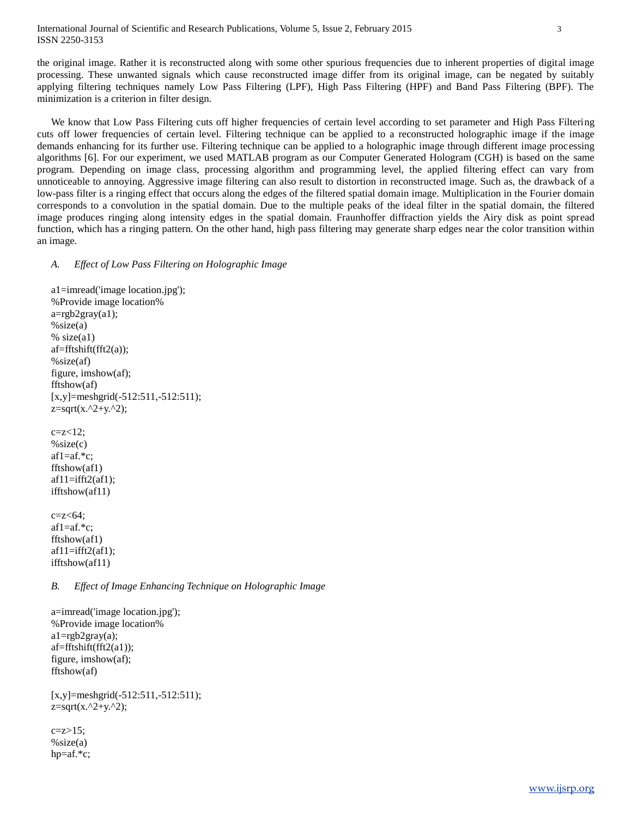## International Journal of Scientific and Research Publications, Volume 5, Issue 2, February 2015 3 ISSN 2250-3153

the original image. Rather it is reconstructed along with some other spurious frequencies due to inherent properties of digital image processing. These unwanted signals which cause reconstructed image differ from its original image, can be negated by suitably applying filtering techniques namely Low Pass Filtering (LPF), High Pass Filtering (HPF) and Band Pass Filtering (BPF). The minimization is a criterion in filter design.

We know that Low Pass Filtering cuts off higher frequencies of certain level according to set parameter and High Pass Filtering cuts off lower frequencies of certain level. Filtering technique can be applied to a reconstructed holographic image if the image demands enhancing for its further use. Filtering technique can be applied to a holographic image through different image processing algorithms [6]. For our experiment, we used MATLAB program as our Computer Generated Hologram (CGH) is based on the same program. Depending on image class, processing algorithm and programming level, the applied filtering effect can vary from unnoticeable to annoying. Aggressive image filtering can also result to distortion in reconstructed image. Such as, the drawback of a low-pass filter is a ringing effect that occurs along the edges of the filtered spatial domain image. Multiplication in the Fourier domain corresponds to a convolution in the spatial domain. Due to the multiple peaks of the ideal filter in the spatial domain, the filtered image produces ringing along intensity edges in the spatial domain. Fraunhoffer diffraction yields the Airy disk as point spread function, which has a ringing pattern. On the other hand, high pass filtering may generate sharp edges near the color transition within an image.

#### *A. Effect of Low Pass Filtering on Holographic Image*

a1=imread('image location.jpg'); %Provide image location%  $a = \text{rgb2}$ gray $(a1)$ ;  $% size(a)$  $% size(a1)$ af=fftshift(fft2(a));  $\%$ size $(af)$ figure, imshow(af); fftshow(af) [x,y]=meshgrid(-512:511,-512:511);  $z=sqrt(x.^2+y.^2);$  $cz < 12$ ;  $\%$ size $(c)$ af1=af.\*c; fftshow(af1) af $11=$ ifft $2$ (af $1$ ); ifftshow(af11)  $c=z<64$ : af1=af.\*c; fftshow(af1)  $af1=ifft2(af1);$ ifftshow(af11)

# *B. Effect of Image Enhancing Technique on Holographic Image*

a=imread('image location.jpg'); %Provide image location% a1=rgb2gray(a); af=fftshift(fft2(a1)); figure, imshow(af); fftshow(af)

[x,y]=meshgrid(-512:511,-512:511);  $z = sqrt(x.^2+y.^2);$ 

 $cz>15$ ; %size(a) hp=af.\*c;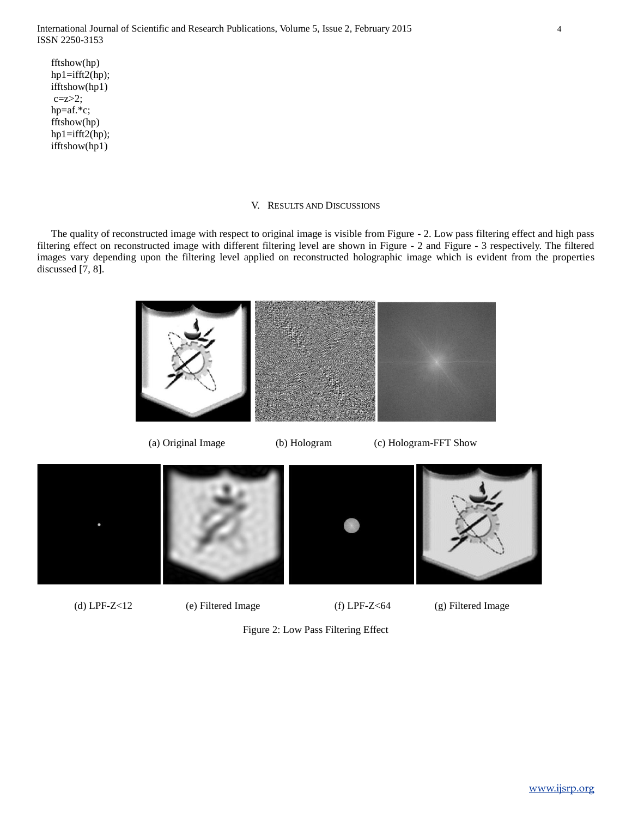fftshow(hp)  $hp1=ifft2(hp);$ ifftshow(hp1)  $c = z > 2$ ; hp=af.\*c; fftshow(hp) hp1=ifft2(hp); ifftshow(hp1)

## V. RESULTS AND DISCUSSIONS

The quality of reconstructed image with respect to original image is visible from Figure - 2. Low pass filtering effect and high pass filtering effect on reconstructed image with different filtering level are shown in Figure - 2 and Figure - 3 respectively. The filtered images vary depending upon the filtering level applied on reconstructed holographic image which is evident from the properties discussed [7, 8].





(a) Original Image (b) Hologram (c) Hologram-FFT Show





Figure 2: Low Pass Filtering Effect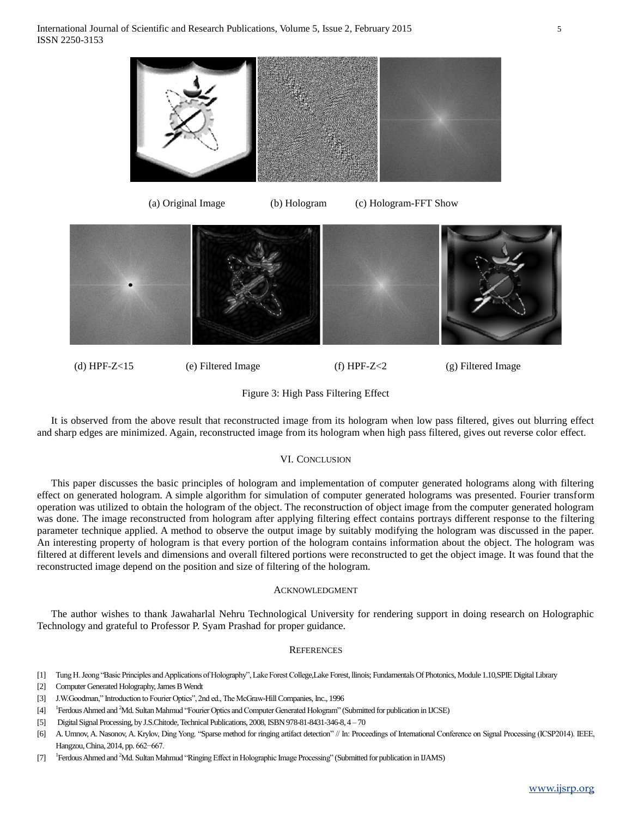

(d) HPF-Z<15 (e) Filtered Image (f) HPF-Z<2 (g) Filtered Image

Figure 3: High Pass Filtering Effect

It is observed from the above result that reconstructed image from its hologram when low pass filtered, gives out blurring effect and sharp edges are minimized. Again, reconstructed image from its hologram when high pass filtered, gives out reverse color effect.

# VI. CONCLUSION

This paper discusses the basic principles of hologram and implementation of computer generated holograms along with filtering effect on generated hologram. A simple algorithm for simulation of computer generated holograms was presented. Fourier transform operation was utilized to obtain the hologram of the object. The reconstruction of object image from the computer generated hologram was done. The image reconstructed from hologram after applying filtering effect contains portrays different response to the filtering parameter technique applied. A method to observe the output image by suitably modifying the hologram was discussed in the paper. An interesting property of hologram is that every portion of the hologram contains information about the object. The hologram was filtered at different levels and dimensions and overall filtered portions were reconstructed to get the object image. It was found that the reconstructed image depend on the position and size of filtering of the hologram.

# ACKNOWLEDGMENT

The author wishes to thank Jawaharlal Nehru Technological University for rendering support in doing research on Holographic Technology and grateful to Professor P. Syam Prashad for proper guidance.

# **REFERENCES**

- [1] Tung H. Jeong "Basic Principles and Applications of Holography", Lake Forest College,Lake Forest, llinois; Fundamentals Of Photonics, Module 1.10,SPIE Digital Library
- [2] Computer Generated Holography, James B Wendt
- [3] J.W.Goodman," Introduction to Fourier Optics", 2nd ed., The McGraw-Hill Companies, Inc., 1996
- $[4]$ <sup>1</sup>Ferdous Ahmed and <sup>2</sup>Md. Sultan Mahmud "Fourier Optics and Computer Generated Hologram" (Submitted for publication in IJCSE)
- [5] Digital Signal Processing, by J.S.Chitode, Technical Publications, 2008, ISBN 978-81-8431-346-8, 4 70
- [6] A. Umnov, A. Nasonov, A. Krylov, Ding Yong. ["Sparse method for ringing artifact detection"](http://imaging.cs.msu.ru/en/publication?id=296) // In: Proceedings of International Conference on Signal Processing (ICSP2014). IEEE, Hangzou, China, 2014, pp. 662−667.
- [7] Ferdous Ahmed and <sup>2</sup>Md. Sultan Mahmud "Ringing Effect in Holographic Image Processing" (Submitted for publication in IJAMS)